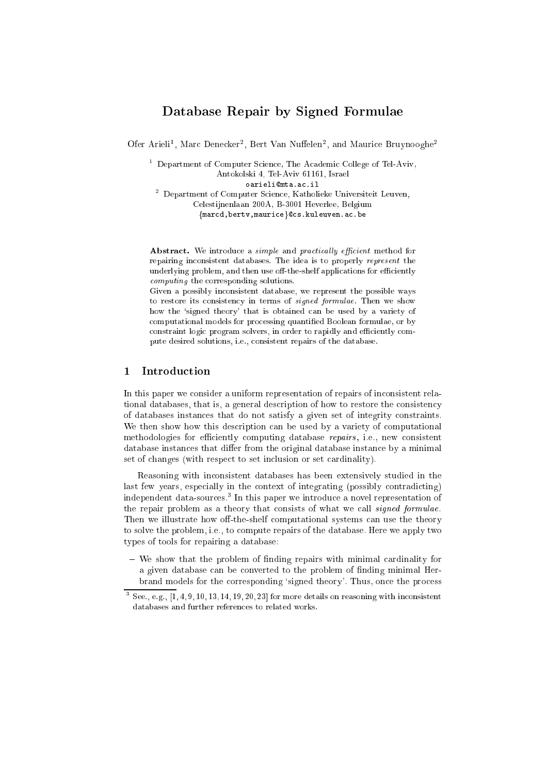# Database Repair by Signed Formulae

Oler Arieli-, Marc Denecker-, Dert van Nuhelen-, and Maurice Bruynooghe-

 $\,$  - Department of Computer Science, The Academic College of Tel-Aviv, Antokolski 4, Tel-Aviv 61161, Israel

oarieli@mta.ac.il

<sup>2</sup> Department of Computer S
ien
e, Katholieke Universiteit Leuven, Celestijnenlaan 200A, B-3001 Heverlee, Belgium <sup>f</sup>mar
d,bertv,mauri
eg
s.kuleuven.a
.be

**Abstract.** We introduce a *simple* and *practically efficient* method for repairing inconsistent databases. The idea is to properly *represent* the underlying problem, and then use off-the-shelf applications for efficiently omputing the orresponding solutions.

Given a possibly in
onsistent database, we represent the possible ways to restore its consistency in terms of *signed formulae*. Then we show how the 'signed theory' that is obtained can be used by a variety of omputational models for pro
essing quantied Boolean formulae, or by constraint logic program solvers, in order to rapidly and efficiently compute desired solutions, i.e., onsistent repairs of the database.

#### $\mathbf{1}$ **Introduction**

In this paper we consider a uniform representation of repairs of inconsistent relational databases, that is, a general description of how to restore the consistency of databases instan
es that do not satisfy a given set of integrity onstraints. We then show how this description can be used by a variety of computational methodologies for efficiently computing database repairs, i.e., new consistent database instances that differ from the original database instance by a minimal set of changes (with respect to set inclusion or set cardinality).

Reasoning with in
onsistent databases has been extensively studied in the last few years, especially in the context of integrating (possibly contradicting) independent data-sources. In this paper we introduce a novel representation of the repair problem as a theory that consists of what we call *signed formulae*. Then we illustrate how off-the-shelf computational systems can use the theory to solve the problem, i.e., to compute repairs of the database. Here we apply two types of tools for repairing a database:

 $-$  We show that the problem of finding repairs with minimal cardinality for a given database can be converted to the problem of finding minimal Herbrand models for the corresponding 'signed theory'. Thus, once the process

 $\sim$  5ee., e.g., [1, 4, 9, 10, 13, 14, 19, 20, 23] for more details on reasoning with inconsistent databases and further referen
es to related works.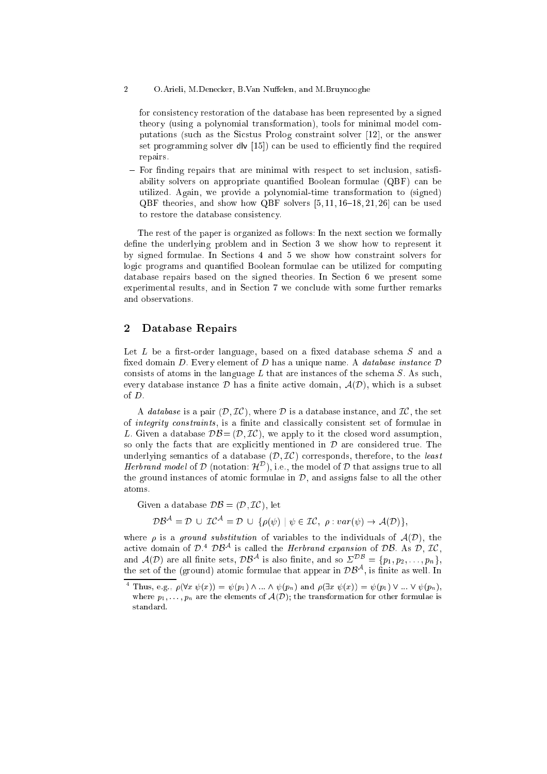for onsisten
y restoration of the database has been represented by a signed theory (using a polynomial transformation), tools for minimal model omputations (such as the Sicstus Prolog constraint solver [12], or the answer set programming solver dlv  $[15]$  can be used to efficiently find the required repairs.

 $-$  For finding repairs that are minimal with respect to set inclusion, satisfiability solvers on appropriate quantified Boolean formulae (QBF) can be utilized. Again, we provide a polynomial-time transformation to (signed) QBF theories, and show how QBF solvers  $[5, 11, 16{-}18, 21, 26]$  can be used to restore the database consistency.

The rest of the paper is organized as follows: In the next section we formally define the underlying problem and in Section 3 we show how to represent it by signed formulae. In Sections 4 and 5 we show how constraint solvers for logic programs and quantified Boolean formulae can be utilized for computing database repairs based on the signed theories. In Section 6 we present some experimental results, and in Section 7 we conclude with some further remarks and observations.

#### 2database Repairs in the pairs of the pairs of the pairs of the pairs of the pairs of the pairs of the pairs of

Let  $L$  be a first-order language, based on a fixed database schema  $S$  and a fixed domain D. Every element of D has a unique name. A *database instance*  $D$ consists of atoms in the language L that are instances of the schema  $S$ . As such, every database instance  $\mathcal D$  has a finite active domain,  $\mathcal A(\mathcal D)$ , which is a subset of D.

A database is a pair  $(D,\mathcal{IC})$ , where D is a database instance, and  $\mathcal{IC}$ , the set of *integrity constraints*, is a finite and classically consistent set of formulae in L. Given a database  $\mathcal{DB} = (\mathcal{D}, \mathcal{IC})$ , we apply to it the closed word assumption, so only the facts that are explicitly mentioned in  $D$  are considered true. The underlying semantics of a database  $(D, \mathcal{IC})$  corresponds, therefore, to the least Herbrand model of D (flotation:  $\pi$  ), i.e., the model of D that assigns true to all the ground instances of atomic formulae in  $D$ , and assigns false to all the other atoms.

Given a database  $\mathcal{DB} = (\mathcal{D}, \mathcal{IC})$ , let

$$
\mathcal{DB}^{\mathcal{A}} = \mathcal{D} \cup \mathcal{IC}^{\mathcal{A}} = \mathcal{D} \cup \{ \rho(\psi) \mid \psi \in \mathcal{IC}, \rho : var(\psi) \to \mathcal{A}(\mathcal{D}) \},
$$

where  $\rho$  is a ground substitution of variables to the individuals of  $A(D)$ , the active domain of  $D^+$   $D\mathcal{B}^+$  is called the Herbrand expansion of DB. As  $D,$  IC, and  $A(D)$  are all finite sets,  $D\mathcal{D}^*$  is also finite, and so  $\mathcal{D}^* = \{p_1, p_2, \ldots, p_n\},$ the set of the (ground) atomic formulae that appear in  $\nu$ b'', is finite as well. In

Thus, e.g.,  $\rho(\nabla x \, \psi(x)) = \psi(p_1) \wedge ... \wedge \psi(p_n)$  and  $\rho(\exists x \, \psi(x)) = \psi(p_1) \vee ... \vee \psi(p_n)$ , where  $p_1, \ldots, p_n$  are the elements of  $\mathcal{A}(\mathcal{D})$ ; the transformation for other formulae is standard.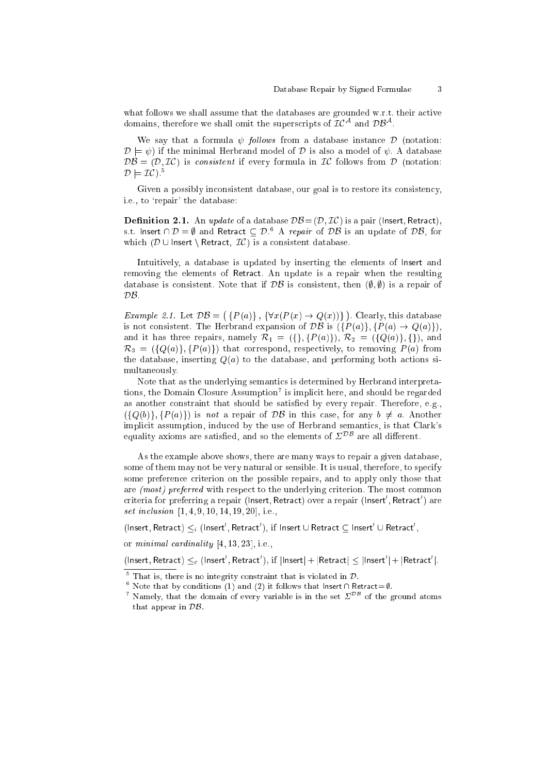$\overline{3}$ 

what follows we shall assume that the databases are grounded w.r.t. their active domains, therefore we shall omit the superscripts of  $\mathcal{L}C^*$  and  $\mathcal{DB}^*$ .

We say that a formula  $\psi$  follows from a database instance  $\mathcal D$  (notation:  $\mathcal{D} \models \psi$  if the minimal Herbrand model of D is also a model of  $\psi$ . A database  $\mathcal{DB} = (\mathcal{D}, \mathcal{IC})$  is consistent if every formula in  $\mathcal{IC}$  follows from  $\mathcal D$  (notation:  $\mathcal{D} \models \mathcal{IC})$ .<sup>5</sup>

Given a possibly inconsistent database, our goal is to restore its consistency, i.e., to `repair' the database:

**Definition 2.1.** An update of a database  $\mathcal{DB} = (\mathcal{D}, \mathcal{IC})$  is a pair (lnsert, Retract), s.t. Insert  $\cap$   $\mathcal{D} = \emptyset$  and Retract  $\subset \mathcal{D}$ . A *repair* of  $\mathcal{D}\mathcal{B}$  is an update of  $\mathcal{D}\mathcal{B}$ , for which ( $\mathcal{D} \cup$  Insert \ Retract,  $\mathcal{IC}$ ) is a consistent database.

Intuitively, a database is updated by inserting the elements of Insert and removing the elements of Retra
t. An update is a repair when the resulting database is consistent. Note that if  $\mathcal{DB}$  is consistent, then  $(\emptyset, \emptyset)$  is a repair of  $\mathcal{D}\mathcal{B}$ .

Example 2.1. Let DB = . . fp (a)  $\mathbf{p}$  is the contract of  $\mathbf{p}$  is the contract of  $\mathbf{p}$  $\sim$ . Clearly, the clearly, the clearly decree of the clearly decree of the clearly decree of the clearly decree of is not consistent. The Herbrand expansion of  $\mathcal{DB}$  is  $(\{P(a)\}, \{P(a) \to Q(a)\}),$ and it has three repairs, namely  $\mathcal{R}_1 = (\{\}, \{P(a)\}), \mathcal{R}_2 = (\{Q(a)\}, \{\})$ , and  $\mathcal{R}_3 = (\{Q(a)\}, \{P(a)\})$  that correspond, respectively, to removing  $P(a)$  from the database, inserting  $Q(a)$  to the database, and performing both actions simultaneously.

Note that as the underlying semanti
s is determined by Herbrand interpretations, the Domain Closure Assumption - is implicit here, and should be regarded as another constraint that should be satisfied by every repair. Therefore, e.g.,  $({Q(b)}, {P(a)}$  is not a repair of DB in this case, for any  $b \neq a$ . Another implicit assumption, induced by the use of Herbrand semantics, is that Clark's equality axioms are satisfied, and so the elements of  $\Sigma^{\mathcal{DB}}$  are all different.

As the example above shows, there are many ways to repair a given database, some of them may not be very natural or sensible. It is usual, therefore, to spe
ify some preference criterion on the possible repairs, and to apply only those that are *(most)* preferred with respect to the underlying criterion. The most common criteria for preferring a repair (Insert, Retract) over a repair (Insert', Retract') are set inclusion  $[1, 4, 9, 10, 14, 19, 20]$ , i.e.,

(Insert, Retract)  $\leq_i$  (Insert', Retract'), if Insert  $\cup$  Retract  $\subset$  Insert'  $\cup$  Retract',

or minimal cardinality  $[4, 13, 23]$ , i.e.,

(lnsert, Retract)  $\leq_c$  (lnsert', Retract'), if |lnsert|+|Retract|  $\leq$  |lnsert'|+|Retract'|.

That is, there is no integrity constraint that is violated in  $\nu$ .

Note that by conditions (1) and (2) it follows that insert ( Retract  $=y$ .

<sup>.</sup> Namely, that the domain of every variable is in the set  $\varSigma^{++}$  of the ground atoms that appear in DB.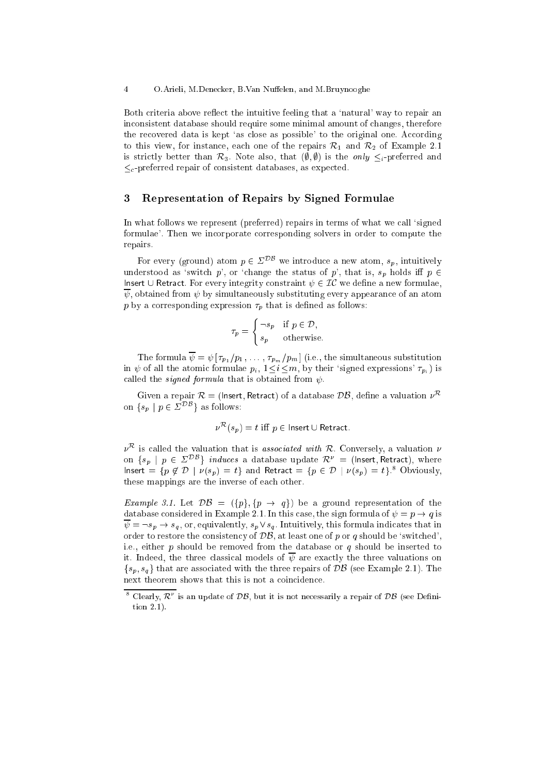Both criteria above reflect the intuitive feeling that a 'natural' way to repair an in
onsistent database should require some minimal amount of hanges, therefore the recovered data is kept 'as close as possible' to the original one. According to this view, for instance, each one of the repairs  $\mathcal{R}_1$  and  $\mathcal{R}_2$  of Example 2.1 is strictly better than  $\mathcal{R}_3$ . Note also, that  $(\emptyset, \emptyset)$  is the *only*  $\leq_i$ -preferred and  $\leq_c$ -preferred repair of consistent databases, as expected.

#### 3Representation of Repairs by Signed Formulae

In what follows we represent (preferred) repairs in terms of what we call 'signed formulae'. Then we incorporate corresponding solvers in order to compute the repairs.

For every (ground) atom  $p \in \Sigma^{DB}$  we introduce a new atom,  $s_p$ , intuitively understood as 'switch p', or 'change the status of p', that is,  $s_p$  holds iff  $p \in$ Insert  $\cup$  Retract. For every integrity constraint  $\psi \in \mathcal{IC}$  we define a new formulae,  $\overline{\psi}$ , obtained from  $\psi$  by simultaneously substituting every appearance of an atom p by a corresponding expression  $\tau_p$  that is defined as follows:

$$
\tau_p = \begin{cases}\n \neg s_p & \text{if } p \in \mathcal{D}, \\
 s_p & \text{otherwise}.\n\end{cases}
$$

The formula  $\overline{\psi} = \psi[\tau_{p_1}/p_1, \ldots, \tau_{p_m}/p_m]$  (i.e., the simultaneous substitution in  $\psi$  of all the atomic formulae  $p_i$ ,  $1 \leq i \leq m$ , by their 'signed expressions'  $\tau_{p_i}$ ) is called the *signed formula* that is obtained from  $\psi$ .

Given a repair  $\mathcal{R} =$  (Insert, Retract) of a database  $\mathcal{DB}$ , define a valuation  $\nu^{\mathcal{R}}$ on  $\{s_p \mid p \in \Sigma^{\mathcal{DB}}\}$  as follows:

$$
\nu^{\mathcal{R}}(s_p) = t \text{ iff } p \in \mathsf{Insert} \cup \mathsf{Retract}.
$$

 $\nu$  is called the valuation that is *associated with K.* Conversely, a valuation  $\nu$ on  $\{s_p \mid p \in \Sigma^{DB}\}\$  induces a database update  $\mathcal{R}^{\nu} =$  (lnsert, Retract), where Insert  $= \{p \notin \mathcal{D} \mid \nu(s_p) = t\}$  and Retract  $= \{p \in \mathcal{D} \mid \nu(s_p) = t\}$ .<sup>8</sup> Obviously, these mappings are the inverse of ea
h other.

*Example 3.1.* Let  $\mathcal{DB} = (\{p\}, \{p \rightarrow q\})$  be a ground representation of the database considered in Example 2.1. In this case, the sign formula of  $\psi = p \rightarrow q$  is  $\overline{\psi} = \neg s_p \rightarrow s_q$ , or, equivalently,  $s_p \vee s_q$ . Intuitively, this formula indicates that in order to restore the consistency of  $\mathcal{DB}$ , at least one of p or q should be 'switched', i.e., either  $p$  should be removed from the database or  $q$  should be inserted to it. Indeed, the three classical models of  $\overline{\psi}$  are exactly the three valuations on  $\{s_n, s_n\}$  that are associated with the three repairs of DB (see Example 2.1). The next theorem shows that this is not a coincidence.

 $\sim$  Clearly,  $\kappa$  is an update of DB, but it is not necessarily a repair of DB (see Definition 2.1).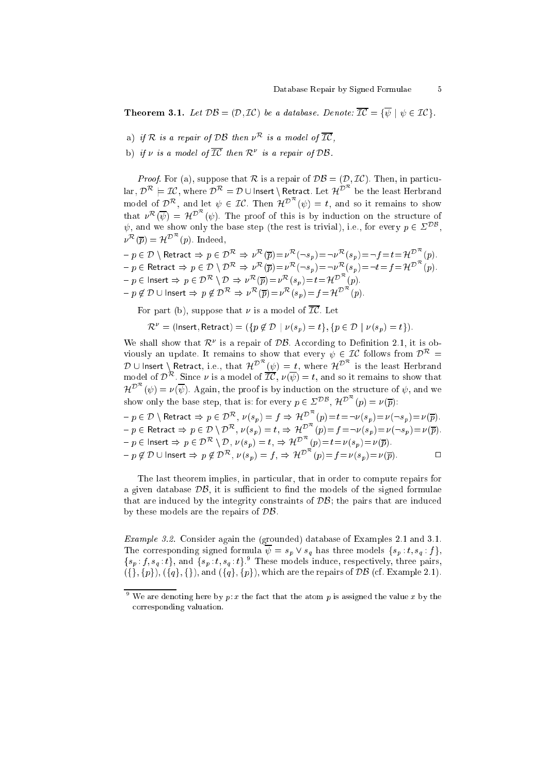**Theorem 3.1.** Let  $\mathcal{DB} = (\mathcal{D}, \mathcal{IC})$  be a database. Denote:  $\overline{\mathcal{IC}} = {\overline{\psi} \mid \psi \in \mathcal{IC}}$ .

- a) if  $\kappa$  is a repair of DB then  $\nu$  is a model of LC,
- b) if  $\nu$  is a model of LC then  $\kappa$  is a repair of DD.

*Proof.* For (a), suppose that R is a repair of  $DB = (D, \mathcal{IC})$ . Then, in particular,  $\mathcal{D}^{\kappa} \models \mathcal{IC},$  where  $\mathcal{D}^{\kappa} = \mathcal{D} \cup$  Insert \ Retract. Let  $\mathcal{H}^{D}$  be the least Herbrand model of  $\mathcal{D}^{\kappa}$ , and let  $\psi \in \mathcal{IC}$ . Then  $\mathcal{H}^{D^{**}}(\psi) = t$ , and so it remains to show that  $\nu^{\kappa}(\psi) = \mathcal{H}^{D^{**}}(\psi)$ . The proof of this is by induction on the structure of  $\psi$ , and we show only the base step (the rest is trivial), i.e., for every  $p \in \mathbb{Z}^{-1}$ ,  $\nu^{\mathcal{R}}(\overline{p}) = \mathcal{H}^{D^{\infty}}(p)$ . Indeed,

 $p \in \mathcal{D} \setminus \text{Retract} \Rightarrow p \in \mathcal{D}^{\mathcal{R}} \Rightarrow \nu^{\mathcal{R}}(\overline{p}) = \nu^{\mathcal{R}}(\neg s_p) = \neg \nu^{\mathcal{R}}(s_p) = \neg f = t = \mathcal{H}^{\mathcal{D}^{\mathcal{R}}}(p).$  $p \in \text{Retract} \Rightarrow p \in \mathcal{D} \setminus \mathcal{D}^{\mathcal{R}} \Rightarrow \nu^{\mathcal{R}}(\overline{p}) = \nu^{\mathcal{R}}(\neg s_n) = \neg \nu^{\mathcal{R}}(s_n) = \neg t = f = \mathcal{H}^{D^{\infty}}(p).$  $p-p\in \mathsf{Insert}\Rightarrow p\in \mathcal{D}^\mathcal{R}\setminus \mathcal{D}\Rightarrow \nu^\mathcal{R}(\overline{p})\!=\!\nu^\mathcal{R}(s_p)\!=\!t\!=\!\mathcal{H}^{\mathcal{D}^\mathcal{R}}(p).$ re gi $p\not\in \mathcal{D}^\mathcal{R}$  by  $p\not\in \mathcal{D}^\mathcal{R}$   $\Rightarrow$   $\nu^\mathcal{R}(\overline{p})\!=\!\nu^\mathcal{R}(s_p)\!=\!f\!=\!\mathcal{H}^{\mathcal{D}^\mathcal{R}}(p).$ 

For part (b), suppose that  $\nu$  is a model of  $\overline{\mathcal{IC}}$ . Let

$$
\mathcal{R}^{\nu} = (\text{Insert}, \text{Retract}) = (\{p \notin \mathcal{D} \mid \nu(s_p) = t\}, \{p \in \mathcal{D} \mid \nu(s_p) = t\}).
$$

We shall show that  $\kappa$  is a repair of DD. According to Definition 2.1, it is obviously an update. It remains to show that every  $\psi \in \mathcal{IC}$  follows from  $\mathcal{D}^{\mathcal{R}} =$ D U Insert \ Retract, i.e., that  ${\mathcal H}^{D^{\infty}}(\psi) = t$ , where  ${\mathcal H}^{D^{\infty}}$  is the least Herbrand model of  $\nu$ . Since  $\nu$  is a model of  $\nu \tau$ ,  $\nu(\psi) = \iota$ , and so it remains to show that  $\mathcal{H}^{D}(\psi) = \nu(\psi)$ . Again, the proof is by induction on the structure of  $\psi$ , and we show only the base step, that is: for every  $p \in \Sigma^{DB}$ ,  $\mathcal{H}^{D^{\infty}}(p) = \nu(\overline{p})$ :

 $p \in \mathcal{D} \setminus \mathsf{Retract} \Rightarrow p \in \mathcal{D}^{\mathcal{R}}, \ \nu(s_p) = f \Rightarrow \mathcal{H}^{\mathcal{D}^{\infty}}(p) = t = \neg \nu(s_p) = \nu(\neg s_p) = \nu(\overline{p}).$  $p \in \text{Retract} \Rightarrow p \in \mathcal{D} \setminus \mathcal{D}^{\kappa}, \ \nu(s_p) = t, \ \Rightarrow \mathcal{H}^{D^{**}}(p) = f = \neg \nu(s_p) = \nu(\neg s_p) = \nu(\overline{p}).$  $p \in \text{Insert} \Rightarrow p \in \mathcal{D}^{\mathcal{R}} \setminus \mathcal{D}, \ \nu(s_n) = t, \Rightarrow \mathcal{H}^{\mathcal{D}^{\infty}}(p) = t = \nu(s_n) = \nu(\overline{p}).$ 

$$
- p \notin \mathcal{D} \cup \text{Insert} \Rightarrow p \notin \mathcal{D}^{\mathcal{R}}, \nu(s_p) = f, \Rightarrow \mathcal{H}^{\mathcal{D}^{\mathcal{R}}}(p) = f = \nu(s_p) = \nu(\overline{p}).
$$

The last theorem implies, in particular, that in order to compute repairs for a given database  $\mathcal{DB}$ , it is sufficient to find the models of the signed formulae that are induced by the integrity constraints of  $\mathcal{DB}$ ; the pairs that are induced by these models are the repairs of  $\mathcal{DB}$ .

Example 3.2. Consider again the (grounded) database of Examples 2.1 and 3.1.  $\tau$  , or the signed formula signed formulas from the models from the species  $\tau$  is given that the space models for  $\tau$  $\{s_p : f, s_q : \iota\}$ , and  $\{s_p : \iota, s_q : \iota\}$  – I nese models induce, respectively, three pairs, (fg; fpg), (fqg; fg), and (fqg; fpg), whi
h are the repairs of DB (
f. Example 2.1).

The are-denoting here by  $p:x$  the fact that the atom  $p$  is assigned the value  $x$  by the orresponding valuation.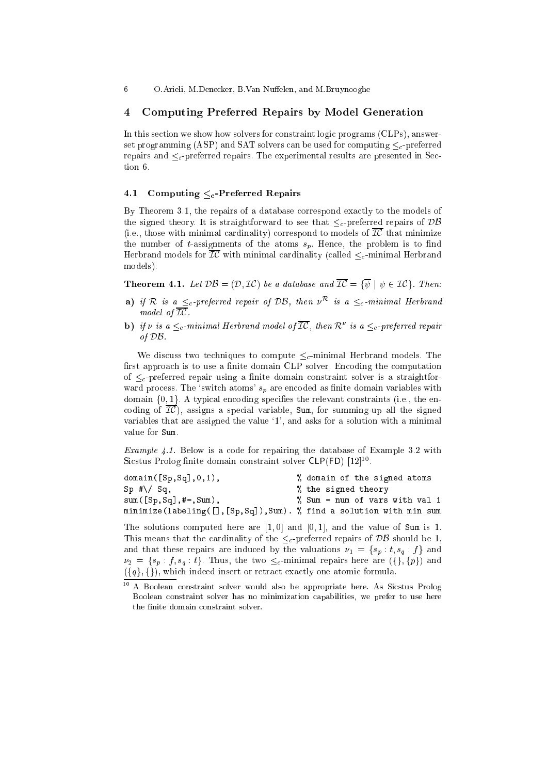#### 4Computing Preferred Repairs by Model Generation

In this section we show how solvers for constraint logic programs (CLPs), answerset programming (ASP) and SAT solvers can be used for computing  $\leq_c$ -preferred repairs and  $\leq_i$ -preferred repairs. The experimental results are presented in Section 6.

### 4.1 Computing  $\leq_c$ -Preferred Repairs

By Theorem 3.1, the repairs of a database orrespond exa
tly to the models of the signed theory. It is straightforward to see that  $\leq_c$ -preferred repairs of  $\mathcal{DB}$ (i.e., those with minimal cardinality) correspond to models of  $\overline{\mathcal{IC}}$  that minimize the number of *t*-assignments of the atoms  $s_p$ . Hence, the problem is to find Herbrand models for  $\overline{IC}$  with minimal cardinality (called  $\leq_c$ -minimal Herbrand models).

**Theorem 4.1.** Let  $\mathcal{DB} = (\mathcal{D}, \mathcal{IC})$  be a database and  $\overline{\mathcal{IC}} = {\overline{\psi} \mid \psi \in \mathcal{IC}}$ . Then:

- **a**) if R is a  $\leq_c$ -preferred repair of DB, then  $\nu$  is a  $\leq_c$ -minimal Herbrand model of  $\overline{\mathcal{IC}}$ .
- **b**) if  $\nu$  is a  $\leq_c$ -minimal Herbrand model of LC, then  $\kappa$  is a  $\leq_c$ -preferred repair of DB.

We discuss two techniques to compute  $\leq_c$ -minimal Herbrand models. The first approach is to use a finite domain CLP solver. Encoding the computation of  $\leq_c$ -preferred repair using a finite domain constraint solver is a straightforward process. The 'switch atoms'  $s_p$  are encoded as finite domain variables with domain  $\{0, 1\}$ . A typical encoding specifies the relevant constraints (i.e., the encoding of  $\overline{\mathcal{I}\mathcal{C}}$ ), assigns a special variable, Sum, for summing-up all the signed variables that are assigned the value '1', and asks for a solution with a minimal value for Sum.

Example 4.1. Below is a ode for repairing the database of Example 3.2 with Sicstus Prolog finite domain constraint solver CLP(FD) [12]<sup>10</sup>.

| domain([Sp, Sq], 0, 1),                                               | % domain of the signed atoms   |
|-----------------------------------------------------------------------|--------------------------------|
| $Sp# \backslash / Sq.$                                                | % the signed theory            |
| $sum([Sp, Sq], #=, Sum),$                                             | % Sum = num of vars with val 1 |
| minimize(labeling([], [Sp, Sq]), Sum). % find a solution with min sum |                                |

The solutions computed here are  $[1,0]$  and  $[0,1]$ , and the value of Sum is 1. This means that the cardinality of the  $\leq_c$ -preferred repairs of DB should be 1, and that these repairs are induced by the valuations  $\nu_1 = \{s_p : t, s_q : f\}$  and  $\nu_2 = \{s_p : f, s_q : t\}.$  Thus, the two  $\leq_c$ -minimal repairs here are  $(\{\}, \{p\})$  and  $({q}, {})$ , which indeed insert or retract exactly one atomic formula.

the A Boolean constraint solver would also be appropriate here. As Sicstus Prolog Boolean onstraint solver has no minimization apabilities, we prefer to use here the finite domain constraint solver.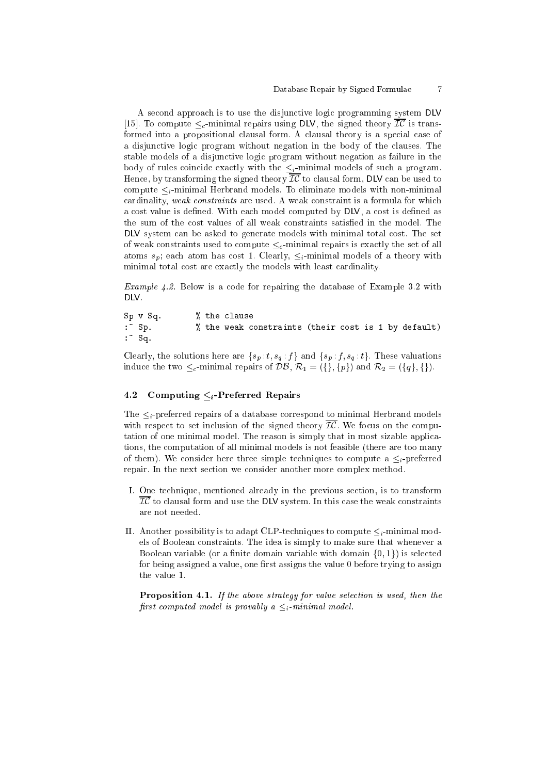A se
ond approa
h is to use the disjun
tive logi programming system DLV [15]. To compute  $\leq_c$ -minimal repairs using DLV, the signed theory  $\overline{IC}$  is transformed into a propositional clausal form. A clausal theory is a special case of a disjunctive logic program without negation in the body of the clauses. The stable models of a disjun
tive logi program without negation as failure in the body of rules coincide exactly with the  $\leq_i$ -minimal models of such a program. Hence, by transforming the signed theory  $\overline{IC}$  to clausal form, DLV can be used to compute  $\leq_i$ -minimal Herbrand models. To eliminate models with non-minimal cardinality, weak constraints are used. A weak constraint is a formula for which a cost value is defined. With each model computed by DLV, a cost is defined as the sum of the cost values of all weak constraints satisfied in the model. The DLV system an be asked to generate models with minimal total ost. The set of weak constraints used to compute  $\leq_c$ -minimal repairs is exactly the set of all atoms  $s_p$ ; each atom has cost 1. Clearly,  $\leq_i$ -minimal models of a theory with minimal total cost are exactly the models with least cardinality.

Example 4.2. Below is a code for repairing the database of Example 3.2 with DLV.

Sp v Sq. % the clause : ~ Sp. % the weak constraints (their cost is 1 by default)  $\cdot$  sq.  $\cdot$ 

Collections is the solutions of the solutions in  $g$  and  $g$  and  $g$  and  $g$  and  $f$  is the set value of  $\alpha$ indu
e the two -minimal repairs of DB, R1 <sup>=</sup> (fg; fpg) and R2 <sup>=</sup> (fqg; fg).

### 4.2 Computing  $\leq_i$ -Preferred Repairs

The  $\leq_i$ -preferred repairs of a database correspond to minimal Herbrand models with respect to set inclusion of the signed theory  $\overline{IC}$ . We focus on the computation of one minimal model. The reason is simply that in most sizable appli
ations, the omputation of all minimal models is not feasible (there are too many of them). We consider here three simple techniques to compute a  $\leq_i$ -preferred repair. In the next section we consider another more complex method.

- I. One te
hnique, mentioned already in the previous se
tion, is to transform  $\overline{IC}$  to clausal form and use the DLV system. In this case the weak constraints are not needed.
- II. Another possibility is to adapt CLP-techniques to compute  $\lt$ -minimal models of Boolean onstraints. The idea is simply to make sure that whenever a Boolean variable (or a finite domain variable with domain  $\{0,1\}$ ) is selected for being assigned a value, one first assigns the value 0 before trying to assign the value 1.

**Proposition 4.1.** If the above strategy for value selection is used, then the first computed model is provably a  $\leq_i$ -minimal model.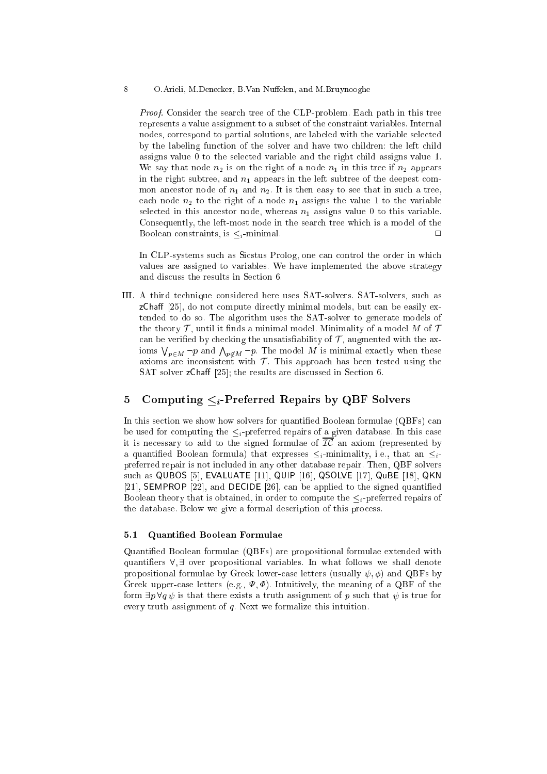*Proof.* Consider the search tree of the CLP-problem. Each path in this tree represents a value assignment to a subset of the onstraint variables. Internal nodes, orrespond to partial solutions, are labeled with the variable sele
ted by the labeling function of the solver and have two children: the left child assigns value 0 to the sele
ted variable and the right hild assigns value 1. We say that node  $n_2$  is on the right of a node  $n_1$  in this tree if  $n_2$  appears in the right subtree, and  $n_1$  appears in the left subtree of the deepest common ancestor node of  $n_1$  and  $n_2$ . It is then easy to see that in such a tree, each node  $n_2$  to the right of a node  $n_1$  assigns the value 1 to the variable selected in this ancestor node, whereas  $n_1$  assigns value 0 to this variable. Consequently, the left-most node in the search tree which is a model of the Boolean constraints, is  $\lt_i$ -minimal.  $\Box$ 

In CLP-systems such as Sicstus Prolog, one can control the order in which values are assigned to variables. We have implemented the above strategy and dis
uss the results in Se
tion 6.

III. A third te
hnique onsidered here uses SAT-solvers. SAT-solvers, su
h as zChaff [25], do not compute directly minimal models, but can be easily extended to do so. The algorithm uses the SAT-solver to generate models of the theory  $\mathcal T$ , until it finds a minimal model. Minimality of a model M of  $\mathcal T$ can be verified by checking the unsatisfiability of  $\mathcal T$ , augmented with the axioms  $\bigvee_{p\in M}\neg p$  and  $\bigwedge_{p\not\in M}\neg p$ . The model M is minimal exactly when these axioms are inconsistent with  $\mathcal T$ . This approach has been tested using the SAT solver zChaff [25]; the results are discussed in Section 6.

#### 5Computing  $\leq_i$ -Preferred Repairs by QBF Solvers

In this section we show how solvers for quantified Boolean formulae (QBFs) can be used for computing the  $\leq_i$ -preferred repairs of a given database. In this case it is necessary to add to the signed formulae of  $\overline{IC}$  an axiom (represented by a quantified Boolean formula) that expresses  $\leq_i$ -minimality, i.e., that an  $\leq_i$ preferred repair is not in
luded in any other database repair. Then, QBF solvers such as QUBOS [5], EVALUATE [11], QUIP [16], QSOLVE [17], QuBE [18], QKN [21], SEMPROP [22], and DECIDE [26], can be applied to the signed quantified Boolean theory that is obtained, in order to compute the  $\leq_i$ -preferred repairs of the database. Below we give a formal description of this process.

### 5.1 Quantied Boolean Formulae

Quantied Boolean formulae (QBFs) are propositional formulae extended with quantifiers  $\forall$ ,  $\exists$  over propositional variables. In what follows we shall denote propositional formulae by Greek lower-case letters (usually  $\psi, \phi$ ) and QBFs by Greek upper-case letters (e.g.,  $\Psi$ , $\Phi$ ). Intuitively, the meaning of a QBF of the form  $\exists p \forall q \psi$  is that there exists a truth assignment of p such that  $\psi$  is true for every truth assignment of  $q$ . Next we formalize this intuition.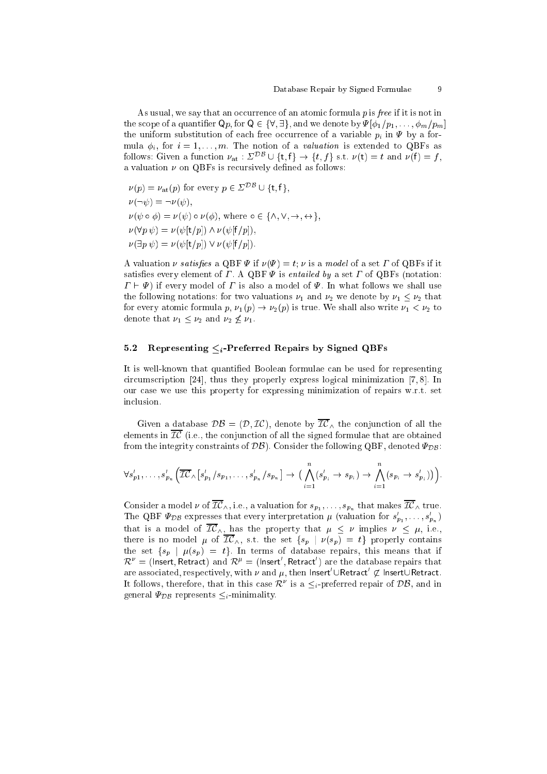As usual, we say that an occurrence of an atomic formula  $p$  is free if it is not in the scope of a quantifier  $\mathsf{Q}p$ , for  $\mathsf{Q} \in \{\forall,\exists\}$ , and we denote by  $\Psi[\phi_1/p_1,\ldots,\phi_m/p_m]$ the uniform substitution of each free occurrence of a variable  $p_i$  in  $\Psi$  by a formula  $\phi_i$ , for  $i = 1, ..., m$ . The notion of a *valuation* is extended to QBFs as follows: Given a function  $\nu_{at} : \Sigma^{\mathcal{DB}} \cup \{t, f\} \to \{t, f\}$  s.t.  $\nu(t) = t$  and  $\nu(f) = f$ , a valuation  $\nu$  on QBFs is recursively defined as follows:

$$
\nu(p) = \nu_{\rm at}(p) \text{ for every } p \in \Sigma^{\mathcal{DB}} \cup \{t, f\},
$$
  
\n
$$
\nu(\neg \psi) = \neg \nu(\psi),
$$
  
\n
$$
\nu(\psi \circ \phi) = \nu(\psi) \circ \nu(\phi), \text{ where } \circ \in \{\land, \lor, \to, \leftrightarrow\},
$$
  
\n
$$
\nu(\forall p \psi) = \nu(\psi[t/p]) \land \nu(\psi[f/p]),
$$
  
\n
$$
\nu(\exists p \psi) = \nu(\psi[t/p]) \lor \nu(\psi[f/p]).
$$

A valuation  $\nu$  satisfies a QBF  $\Psi$  if  $\nu(\Psi) = t$ ;  $\nu$  is a model of a set  $\Gamma$  of QBFs if it satisfies every element of  $\Gamma$ . A QBF  $\Psi$  is entailed by a set  $\Gamma$  of QBFs (notation:  $\Gamma \vdash \Psi$  if every model of  $\Gamma$  is also a model of  $\Psi$ . In what follows we shall use the following notations: for two valuations  $\nu_1$  and  $\nu_2$  we denote by  $\nu_1 \leq \nu_2$  that for every atomic formula p,  $\nu_1(p) \to \nu_2(p)$  is true. We shall also write  $\nu_1 < \nu_2$  to denote that  $\nu_1 \leq \nu_2$  and  $\nu_2 \nleq \nu_1$ .

## 5.2 Representing  $\leq_i$ -Preferred Repairs by Signed QBFs

It is well-known that quantied Boolean formulae an be used for representing circumscription [24], thus they properly express logical minimization [7,8]. In our ase we use this property for expressing minimization of repairs w.r.t. set in
lusion.

Given a database  $\mathcal{DB} = (\mathcal{D}, \mathcal{IC})$ , denote by  $\overline{\mathcal{IC}}_{\wedge}$  the conjunction of all the elements in  $IC$  (i.e., the conjunction of all the signed formulae that are obtained from the integrity constraints of  $\mathcal{DB}$ ). Consider the following QBF, denoted  $\Psi_{\mathcal{DB}}$ :

$$
\forall s'_{p1},\ldots,s'_{p_n}\Big(\overline{\mathcal{IC}}_{\wedge}\big[s'_{p_1}/s_{p_1},\ldots,s'_{p_n}/s_{p_n}\big]\rightarrow\big(\bigwedge_{i=1}^n(s'_{p_i}\rightarrow s_{p_i})\rightarrow\bigwedge_{i=1}^n(s_{p_i}\rightarrow s'_{p_i})\big)\Big).
$$

Consider a model  $\nu$  of  $\overline{\mathcal{IC}}_{\wedge}$ , i.e., a valuation for  $s_{p_1}, \ldots, s_{p_n}$  that makes  $\overline{\mathcal{IC}}_{\wedge}$  true. The QDF  $\Psi_{DB}$  expresses that every interpretation  $\mu$  (valuation for  $s_{p_1},\ldots,s_{p_n}$ ) that is a model of IC  $\wedge$  , that the property that  $\mu$  , i.e., i.e.,  $\mu$  , i.e.,  $\mu$  , i.e., there is no model  $\mu$  and set  $\mu$  is the set for  $\mu$  if  $\mu$  is properly contains the set  $\{s_p \mid \mu(s_p) = t\}$ . In terms of database repairs, this means that if  $\mathcal{R}^{\nu} =$  (Insert, Retract) and  $\mathcal{R}^{\mu} =$  (Insert', Retract') are the database repairs that are associated, respectively, with  $\nu$  and  $\mu$ , then Insert'URetract'  $\not\subset$  InsertURetract. It follows, therefore, that in this case  $\kappa^+$  is a  $\leq_i$ -preferred repair of  $\nu\bar{\nu}$ , and in general  $\Psi_{\mathcal{DB}}$  represents  $\leq_i$ -minimality.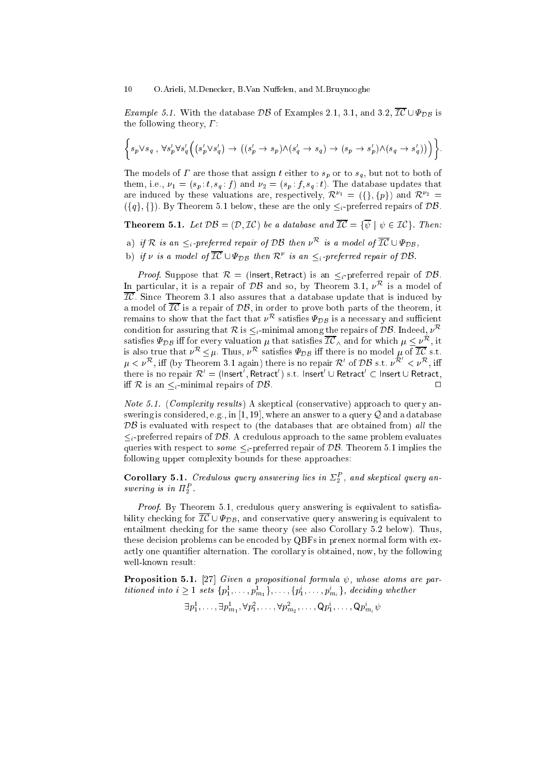*Example 5.1.* With the database  $\mathcal{DB}$  of Examples 2.1, 3.1, and 3.2,  $\overline{\mathcal{IC}} \cup \Psi_{\mathcal{DB}}$  is the following theory,  $\Gamma$ :

$$
\left\{ s_p \vee s_q, \ \forall s'_p \forall s'_q \left( \left( s'_p \vee s'_q \right) \rightarrow \left( \left( s'_p \rightarrow s_p \right) \wedge \left( s'_q \rightarrow s_q \right) \rightarrow \left( s_p \rightarrow s'_p \right) \wedge \left( s_q \rightarrow s'_q \right) \right) \right) \right\}
$$

The models of  $\Gamma$  are those that assign  $t$  either to  $s_p$  or to  $s_q$ , but not to both of them, i.e.,  $\nu_1 = (s_p : t, s_q : f)$  and  $\nu_2 = (s_p : f, s_q : t)$ . The database updates that are induced by these valuations are, respectively,  $\mathcal{R}^{\nu_1} = (\{\}, \{p\})$  and  $\mathcal{R}^{\nu_2} =$  $({q}, {}$ .). By Theorem 5.1 below, these are the only  $\leq_i$ -preferred repairs of DB.

**Theorem 5.1.** Let  $\mathcal{DB} = (\mathcal{D}, \mathcal{IC})$  be a database and  $\overline{\mathcal{IC}} = {\overline{\psi} \mid \psi \in \mathcal{IC}}$ . Then:

- a) if R is an  $\leq_i$ -preferred repair of DB then  $\nu$  is a model of LC  $\cup$   $\Psi_{DB}$ ,
- b) if  $\nu$  is a model of LC  $\cup$   $\Psi_{\mathcal{D}\mathcal{B}}$  then  $\kappa$  is an  $\leq_i$ -preferred repair of DB.

*Proof.* Suppose that  $\mathcal{R} =$  (lnsert, Retract) is an  $\leq_i$ -preferred repair of DB. In particular, it is a repair of  $\nu\bar\nu$  and so, by Theorem 3.1,  $\nu^+$  is a model of  $\overline{\mathcal{IC}}$ . Since Theorem 3.1 also assures that a database update that is induced by a model of  $\overline{\mathcal{IC}}$  is a repair of  $\mathcal{DB}$ , in order to prove both parts of the theorem, it remains to snow that the fact that  $\nu$  – satisfies  $\psi_{{\cal D} {\cal B}}$  is a necessary and sufficient condition for assuring that  $\kappa$  is  $\leq_i$ -minimal among the repairs of  $\nu\bar\nu$ . Indeed,  $\nu^+$ satisfies  $\psi_{\mathcal{DB}}$  in for every valuation  $\mu$  that satisfies  $\text{LC}_\wedge$  and for which  $\mu \leq \nu^{\perp}$ , it is also true that  $\nu \sim \mu$ . Thus,  $\nu$  satisfies  $\psi_{\mathcal{DB}}$  in there is no model  $\mu$  of  $\nu \in s.t.$  $\mu < \nu^{\kappa}$ , iff (by Theorem 3.1 again) there is no repair R' of DB s.t.  $\nu^{\kappa} < \nu^{\kappa}$ , iff there is no repair  $\mathcal{R}' =$  (Insert'. Retract')  $\mathrm{s.t.}$  Insert'  $\cup$  Retract'  $\subset$  Insert  $\cup$  Retract. iff R is an  $\leq_i$ -minimal repairs of DB.  $\Box$ 

Note 5.1. (Complexity results) A skeptical (conservative) approach to query answering is considered, e.g., in [1, 19], where an answer to a query  $Q$  and a database  $\mathcal{DB}$  is evaluated with respect to (the databases that are obtained from) all the  $\leq_i$ -preferred repairs of DB. A credulous approach to the same problem evaluates queries with respect to *some*  $\leq_i$ -preferred repair of DB. Theorem 5.1 implies the following upper complexity bounds for these approaches:

Coronary 5.1. Creautous query answering ties in  $\mathbb{Z}_2^2$ , and skeptical query answering is in  $\Pi_2^{\mathbb{Z}}$  .

Proof. By Theorem 5.1, credulous query answering is equivalent to satisfiability checking for  $\overline{IC} \cup \Psi_{DB}$ , and conservative query answering is equivalent to entailment checking for the same theory (see also Corollary 5.2 below). Thus, these decision problems can be encoded by QBFs in prenex normal form with exactly one quantifier alternation. The corollary is obtained, now, by the following well-known result:

**Proposition 5.1.** [27] Given a propositional formula  $\psi$ , whose atoms are partutoned into  $i \geq 1$  sets  $\{p_1^*, \ldots, p_{m_1}^*\}, \ldots, \{p_1^*, \ldots, p_{m_i}^*\}$ , declaing whether

 $\exists p^1_1,\ldots,\exists p^1_{m_1},\forall p^2_1,\ldots,\forall p^2_{m_2},\ldots,\mathsf{Q} p^i_1,\ldots,\mathsf{Q} p^i_{m_i}\psi$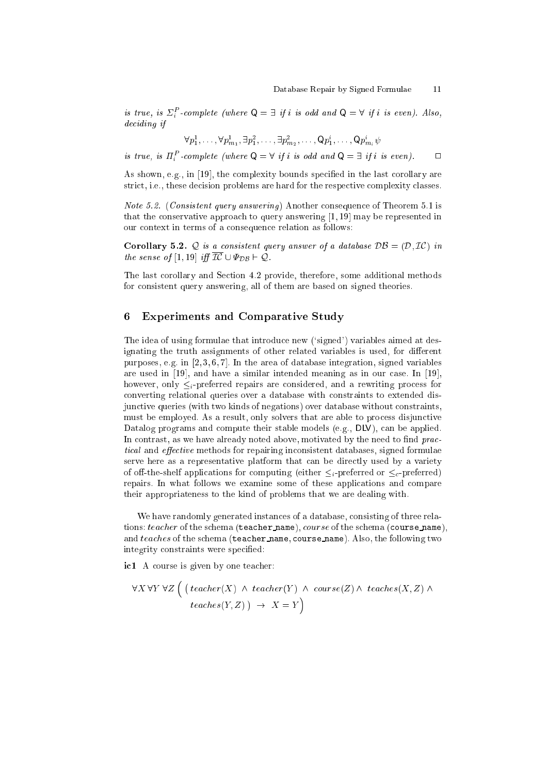is true, is  $\Sigma_i^P$  complete (where  $\mathsf{Q} = \exists$  if i is odd and  $\mathsf{Q} = \forall$  if i is even). Also, deciding if

$$
\forall p_1^1, \ldots, \forall p_{m_1}^1, \exists p_1^2, \ldots, \exists p_{m_2}^2, \ldots, \mathsf{Q} p_1^i, \ldots, \mathsf{Q} p_{m_i}^i \psi
$$

is true, is  $\Pi_i^P$  complete (where  $Q = \forall$  if i is odd and  $Q = \exists$  if i is even).  $\Box$ 

As shown, e.g., in  $[19]$ , the complexity bounds specified in the last corollary are strict, *i.e.*, these decision problems are hard for the respective complexity classes.

Note 5.2. (Consistent query answering) Another consequence of Theorem 5.1 is that the conservative approach to query answering  $[1, 19]$  may be represented in our context in terms of a consequence relation as follows:

Corollary 5.2. Q is a consistent query answer of a database  $\mathcal{DB} = (\mathcal{D}, \mathcal{IC})$  in the sense of [1, 19] iff  $\overline{IC} \cup \Psi_{DB} \vdash Q$ .

The last corollary and Section 4.2 provide, therefore, some additional methods for onsistent query answering, all of them are based on signed theories.

#### 6Experiments and Comparative Study

The idea of using formulae that introduce new ('signed') variables aimed at designating the truth assignments of other related variables is used, for different purposes, e.g. in  $[2, 3, 6, 7]$ . In the area of database integration, signed variables are used in  $[19]$ , and have a similar intended meaning as in our case. In  $[19]$ , however, only  $\leq_i$ -preferred repairs are considered, and a rewriting process for onverting relational queries over a database with onstraints to extended disjunctive queries (with two kinds of negations) over database without constraints, must be employed. As a result, only solvers that are able to process disjunctive Datalog programs and compute their stable models (e.g., DLV), can be applied. In contrast, as we have already noted above, motivated by the need to find practical and effective methods for repairing inconsistent databases, signed formulae serve here as a representative platform that can be directly used by a variety of off-the-shelf applications for computing (either  $\leq_i$ -preferred or  $\leq_c$ -preferred) repairs. In what follows we examine some of these applications and compare their appropriateness to the kind of problems that we are dealing with.

We have randomly generated instances of a database, consisting of three relations: teacher of the schema (teacher\_name), course of the schema (course\_name), and teaches of the schema (teacher name, course name). Also, the following two integrity constraints were specified:

ic1 A course is given by one teacher:

 $\overline{\phantom{a}}$ 

$$
\forall X \forall Y \forall Z \Big( \Big( \operatorname{teacher}(X) \land \operatorname{teacher}(Y) \land \operatorname{course}(Z) \land \operatorname{teaches}(X, Z) \land \\ \operatorname{teaches}(Y, Z) \Big) \rightarrow X = Y \Big)
$$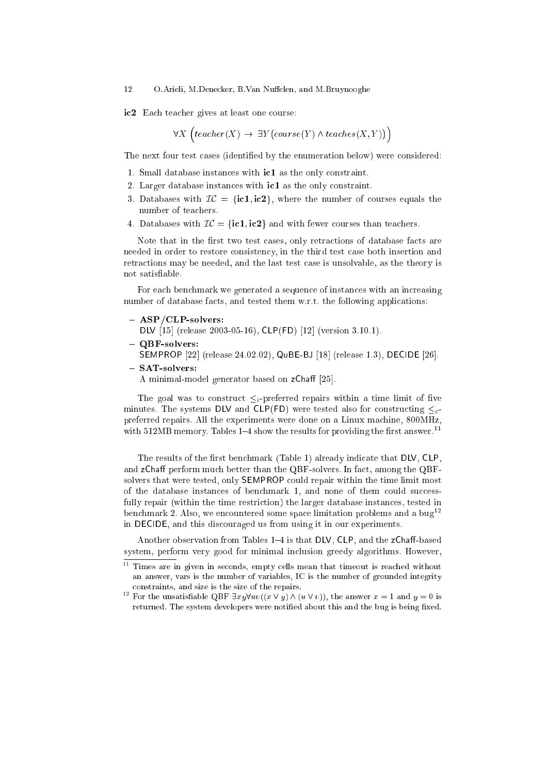ic2 Each teacher gives at least one course:

 $\overline{\phantom{a}}$ 

 $\overline{\phantom{a}}$ tea
her(X) ! <sup>9</sup><sup>Y</sup> . . ourse(Y ) ^ tea
hes(X; Y )  $\Delta$ 

The next four test cases (identified by the enumeration below) were considered:

- 1. Small database instances with **ic1** as the only constraint.
- 2. Larger database instan
es with i
1 as the only onstraint.
- 3. Databases with  $\mathcal{IC} = \{\textbf{ic1}, \textbf{ic2}\}\$ , where the number of courses equals the number of tea
hers.
- 4. Databases with  $\mathcal{IC} = {\textbf{ic1}, \textbf{ic2}}$  and with fewer courses than teachers.

Note that in the first two test cases, only retractions of database facts are needed in order to restore onsisten
y, in the third test ase both insertion and retractions may be needed, and the last test case is unsolvable, as the theory is not satisable.

For each benchmark we generated a sequence of instances with an increasing number of database facts, and tested them w.r.t. the following applications:

- ASP/CLP-solvers:

DLV  $[15]$  (release 2003-05-16), CLP(FD)  $[12]$  (version 3.10.1).

- $-$  QBF-solvers:
- SEMPROP [22] (release 24.02.02), QuBE-BJ [18] (release 1.3), DECIDE [26].
- { SAT-solvers: A minimal-model generator based on  $z$ Chaff [25].

The goal was to construct  $\leq_i$ -preferred repairs within a time limit of five minutes. The systems DLV and CLP(FD) were tested also for constructing  $\leq_{c}$ . preferred repairs. All the experiments were done on a Linux ma
hine, 800MHz, with  $512MB$  memory. Tables 1–4 show the results for providing the first answer.<sup>11</sup>

The results of the first benchmark (Table 1) already indicate that DLV, CLP, and zChaff perform much better than the QBF-solvers. In fact, among the QBFsolvers that were tested, only **SEMPROP** could repair within the time limit most of the database instances of benchmark 1, and none of them could successfully repair (within the time restriction) the larger database instances, tested in benchmark 2. Also, we encountered some space limitation problems and a  $\text{bug}^{12}$ in DECIDE, and this dis
ouraged us from using it in our experiments.

Another observation from Tables  $1-4$  is that DLV, CLP, and the zChaff-based system, perform very good for minimal in
lusion greedy algorithms. However,

<sup>11</sup> Times are in given in se
onds, empty ells mean that timeout is rea
hed without an answer, vars is the number of variables, IC is the number of grounded integrity onstraints, and size is the size of the repairs.

The result is the unsatisfied to the  $Q_{\text{BF}} = x \cdot y \cdot v$  ( $x \vee y$ )  $\wedge$  (u  $\vee$  v)), the answer  $x = 1$  and  $y = 0$  is returned. The system developers were notified about this and the bug is being fixed.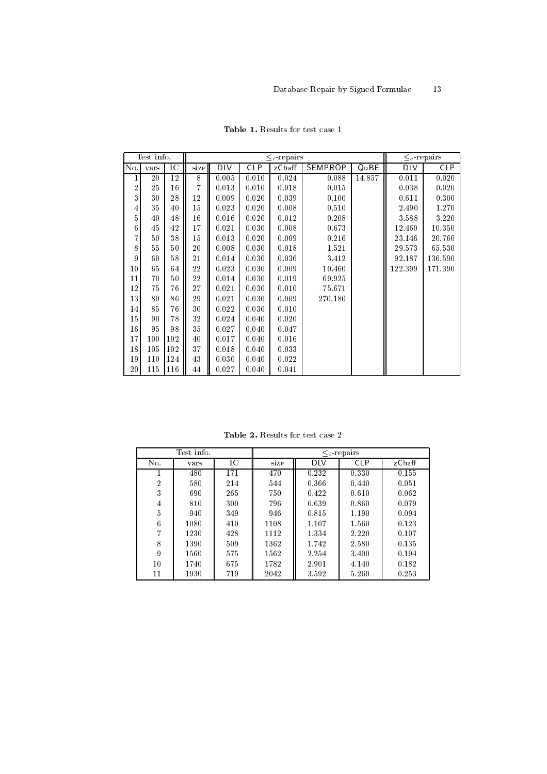|                | Test info. |                  |         | $\leq_i$ repairs |            |        |         |        |         | $\leq_c$ -repairs |  |
|----------------|------------|------------------|---------|------------------|------------|--------|---------|--------|---------|-------------------|--|
| No.            | vars       | $_{\mathrm{IC}}$ | size    | <b>DLV</b>       | <b>CLP</b> | zChaff | SEMPROP | QuBE   | DLV     | <b>CLP</b>        |  |
| 1              | 20         | 12               | 8       | 0.005            | 0.010      | 0.024  | 0.088   | 14.857 | 0.011   | 0.020             |  |
| $\overline{2}$ | 25         | 16               | 7       | 0.013            | 0.010      | 0.018  | 0.015   |        | 0.038   | 0.020             |  |
| 3              | 30         | 28               | 12      | 0.009            | 0.020      | 0.039  | 0.100   |        | 0.611   | 0.300             |  |
| 4              | 35         | 40               | 15      | 0.023            | 0.020      | 0.008  | 0.510   |        | 2.490   | 1.270             |  |
| $\bf 5$        | 40         | 48               | 16      | 0.016            | 0.020      | 0.012  | 0.208   |        | 3.588   | 3.220             |  |
| 6              | 45         | 42               | 17      | 0.021            | 0.030      | 0.008  | 0.673   |        | 12.460  | 10.350            |  |
| 7              | 50         | 38               | 15      | 0.013            | 0.020      | 0.009  | 0.216   |        | 23.146  | 20.760            |  |
| 8              | 55         | 50               | $_{20}$ | 0.008            | 0.030      | 0.018  | 1.521   |        | 29.573  | 65.530            |  |
| 9              | 60         | 58               | 21      | 0.014            | 0.030      | 0.036  | 3.412   |        | 92.187  | 136.590           |  |
| 10             | 65         | 64               | 22      | 0.023            | 0.030      | 0.009  | 10.460  |        | 122.399 | 171.390           |  |
| 11             | 70         | 50               | 22      | 0.014            | 0.030      | 0.019  | 69.925  |        |         |                   |  |
| 12             | 75         | 76               | 27      | 0.021            | 0.030      | 0.010  | 75.671  |        |         |                   |  |
| 13             | 80         | 86               | 29      | 0.021            | 0.030      | 0.009  | 270.180 |        |         |                   |  |
| 14             | 85         | 76               | $30\,$  | 0.022            | 0.030      | 0.010  |         |        |         |                   |  |
| 15             | 90         | 78               | 32      | 0.024            | 0.040      | 0.020  |         |        |         |                   |  |
| 16             | 95         | 98               | 35      | 0.027            | 0.040      | 0.047  |         |        |         |                   |  |
| 17             | 100        | 102              | 40      | 0.017            | 0.040      | 0.016  |         |        |         |                   |  |
| 18             | 105        | 102              | 37      | 0.018            | 0.040      | 0.033  |         |        |         |                   |  |
| 19             | 110        | 124              | 43      | 0.030            | 0.040      | 0.022  |         |        |         |                   |  |
| 20             | 115        | 116              | 44      | 0.027            | 0.040      | 0.041  |         |        |         |                   |  |

Table 1. Results for test ase 1

Table 2. Results for test ase 2

|                | Test info. |     | $\leq_i$ -repairs |       |            |        |  |  |
|----------------|------------|-----|-------------------|-------|------------|--------|--|--|
| No.            | vars       | IC  | size              | DLV   | <b>CLP</b> | zChaff |  |  |
| 1              | 480        | 171 | 470               | 0.232 | 0.330      | 0.155  |  |  |
| $\overline{2}$ | 580        | 214 | 544               | 0.366 | 0.440      | 0.051  |  |  |
| 3              | 690        | 265 | 750               | 0.422 | 0.610      | 0.062  |  |  |
| 4              | 810        | 300 | 796               | 0.639 | 0.860      | 0.079  |  |  |
| 5              | 940        | 349 | 946               | 0.815 | 1.190      | 0.094  |  |  |
| 6              | 1080       | 410 | 1108              | 1.107 | 1.560      | 0.123  |  |  |
| 7              | 1230       | 428 | 1112              | 1.334 | 2.220      | 0.107  |  |  |
| 8              | 1390       | 509 | 1362              | 1.742 | 2.580      | 0.135  |  |  |
| 9              | 1560       | 575 | 1562              | 2.254 | 3.400      | 0.194  |  |  |
| 10             | 1740       | 675 | 1782              | 2.901 | 4.140      | 0.182  |  |  |
| 11             | 1930       | 719 | 2042              | 3.592 | 5.260      | 0.253  |  |  |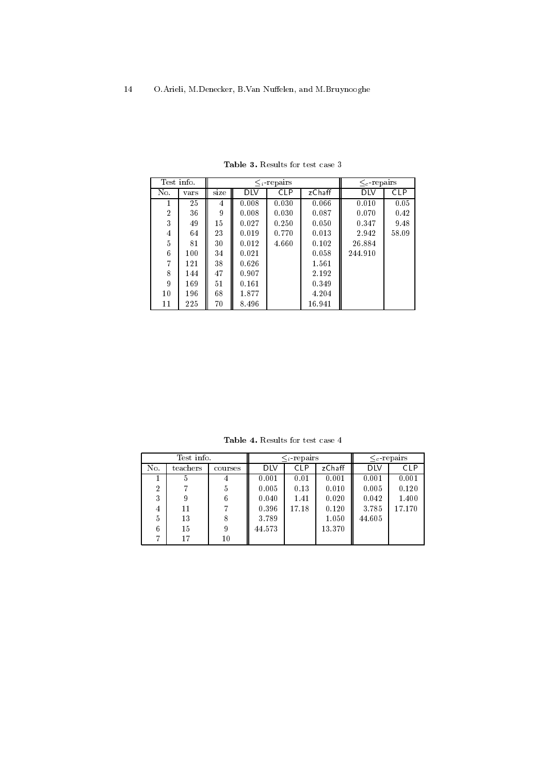|                | Test info. | $\leq$ repairs |            |       |        | $\leq_c$ repairs |            |  |
|----------------|------------|----------------|------------|-------|--------|------------------|------------|--|
| No.            | vars       | size           | <b>DLV</b> | CLP   | zChaff | DLV              | <b>CLP</b> |  |
| 1              | 25         | 4              | 0.008      | 0.030 | 0.066  | 0.010            | 0.05       |  |
| $\overline{2}$ | 36         | 9              | 0.008      | 0.030 | 0.087  | 0.070            | 0.42       |  |
| 3              | 49         | 15             | 0.027      | 0.250 | 0.050  | 0.347            | 9.48       |  |
| 4              | 64         | 23             | 0.019      | 0.770 | 0.013  | 2.942            | 58.09      |  |
| 5              | 81         | 30             | 0.012      | 4.660 | 0.102  | 26.884           |            |  |
| 6              | 100        | 34             | 0.021      |       | 0.058  | 244.910          |            |  |
| 7              | 121        | 38             | 0.626      |       | 1.561  |                  |            |  |
| 8              | 144        | 47             | 0.907      |       | 2.192  |                  |            |  |
| 9              | 169        | 51             | 0.161      |       | 0.349  |                  |            |  |
| 10             | 196        | 68             | 1.877      |       | 4.204  |                  |            |  |
| $11\,$         | 225        | 70             | 8.496      |       | 16.941 |                  |            |  |

Table 3. Results for test ase 3

Table 4. Results for test ase 4

| Test info.     |          |         |        | $\leq_i$ -repairs | $\leq_c$ repairs |        |        |
|----------------|----------|---------|--------|-------------------|------------------|--------|--------|
| No.            | teachers | courses | DLV    | CL P              | zChaff           | DLV    | CLP    |
|                | 5        | 4       | 0.001  | 0.01              | 0.001            | 0.001  | 0.001  |
| $\overline{2}$ |          | 5       | 0.005  | 0.13              | 0.010            | 0.005  | 0.120  |
| 3              |          | 6       | 0.040  | 1.41              | 0.020            | 0.042  | 1.400  |
| $\overline{4}$ | 11       |         | 0.396  | 17.18             | 0.120            | 3.785  | 17.170 |
| 5              | 13       | 8       | 3.789  |                   | 1.050            | 44.605 |        |
| 6              | 15       | 9       | 44.573 |                   | 13.370           |        |        |
|                | 17       | $10\,$  |        |                   |                  |        |        |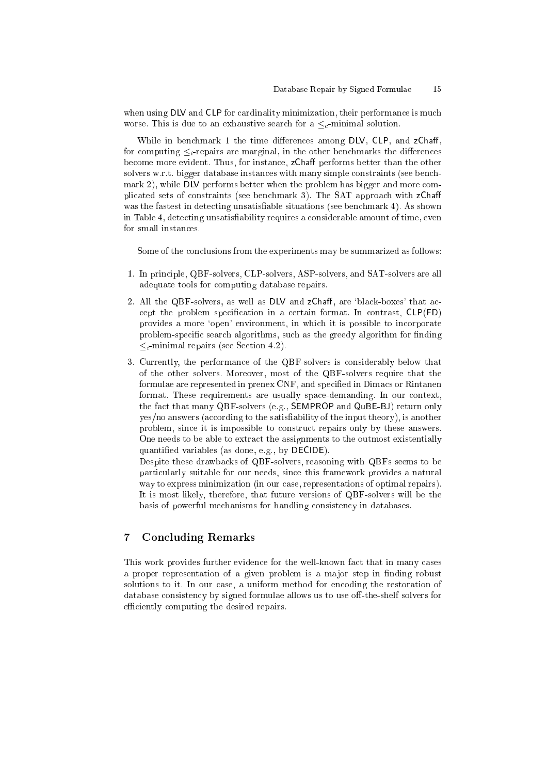when using DLV and CLP for cardinality minimization, their performance is much worse. This is due to an exhaustive search for a  $\leq_c$ -minimal solution.

While in benchmark 1 the time differences among DLV, CLP, and zChaff, for computing  $\leq_i$ -repairs are marginal, in the other benchmarks the differences become more evident. Thus, for instance, zChaff performs better than the other solvers w.r.t. bigger database instances with many simple constraints (see benchmark 2), while DLV performs better when the problem has bigger and more complicated sets of constraints (see benchmark 3). The SAT approach with zChaff was the fastest in detecting unsatisfiable situations (see benchmark 4). As shown in Table 4, detecting unsatisfiability requires a considerable amount of time, even for small instan
es.

Some of the conclusions from the experiments may be summarized as follows:

- 1. In prin
iple, QBF-solvers, CLP-solvers, ASP-solvers, and SAT-solvers are all adequate tools for omputing database repairs.
- 2. All the QBF-solvers, as well as DLV and zChaff, are 'black-boxes' that accept the problem specification in a certain format. In contrast,  $CLP(FD)$ provides a more `open' environment, in whi
h it is possible to in
orporate problem-specific search algorithms, such as the greedy algorithm for finding  $\leq_i$ -minimal repairs (see Section 4.2).
- 3. Currently, the performan
e of the QBF-solvers is onsiderably below that of the other solvers. Moreover, most of the QBF-solvers require that the formulae are represented in prenex CNF, and specified in Dimacs or Rintanen format. These requirements are usually space-demanding. In our context, the fact that many QBF-solvers (e.g., SEMPROP and QuBE-BJ) return only yes/no answers (according to the satisfiability of the input theory), is another problem, sin
e it is impossible to onstru
t repairs only by these answers. One needs to be able to extract the assignments to the outmost existentially quantied variables (as done, e.g., by DECIDE).

Despite these drawba
ks of QBF-solvers, reasoning with QBFs seems to be parti
ularly suitable for our needs, sin
e this framework provides a natural way to express minimization (in our ase, representations of optimal repairs). It is most likely, therefore, that future versions of QBF-solvers will be the basis of powerful mechanisms for handling consistency in databases.

### 7Con
luding Remarks

This work provides further evidence for the well-known fact that in many cases a proper representation of a given problem is a major step in finding robust solutions to it. In our case, a uniform method for encoding the restoration of database consistency by signed formulae allows us to use off-the-shelf solvers for efficiently computing the desired repairs.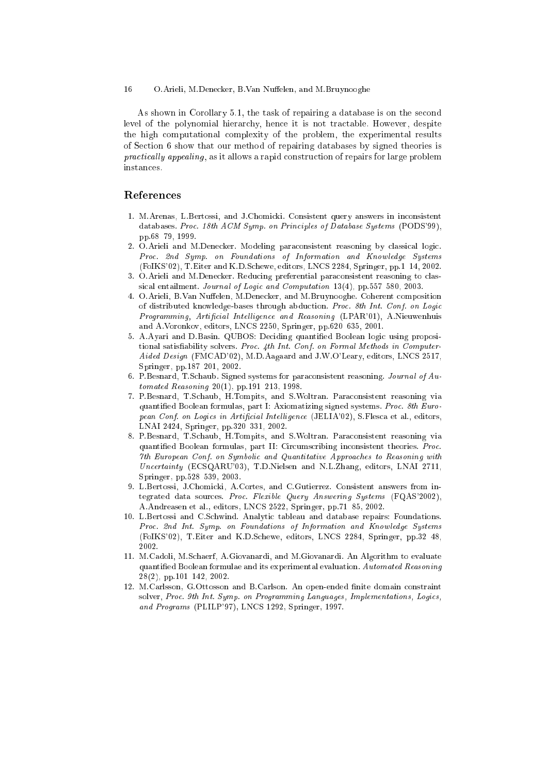As shown in Corollary 5.1, the task of repairing a database is on the second level of the polynomial hierarchy, hence it is not tractable. However, despite the high omputational omplexity of the problem, the experimental results of Se
tion 6 show that our method of repairing databases by signed theories is practically appealing, as it allows a rapid construction of repairs for large problem instan
es.

- 1. M.Arenas, L.Bertossi, and J.Chomi
ki. Consistent query answers in in
onsistent databases. Proc. 18th ACM Symp. on Principles of Database Systems (PODS'99), pp.68{79, 1999.
- 2. O.Arieli and M.Denecker. Modeling paraconsistent reasoning by classical logic. Pro
. 2nd Symp. on Foundations of Information and Knowledge Systems (FoIKS'02), T.Eiter and K.D.Schewe, editors, LNCS 2284, Springer, pp.1-14, 2002.
- 3. O.Arieli and M.Dene
ker. Redu
ing preferential para
onsistent reasoning to lassical entailment. Journal of Logic and Computation  $13(4)$ , pp.557-580, 2003.
- 4. O.Arieli, B.Van Nuffelen, M.Denecker, and M.Bruynooghe. Coherent composition of distributed knowledge-bases through abduction. Proc. 8th Int. Conf. on Logic Programming, Artificial Intelligence and Reasoning (LPAR'01), A.Nieuwenhuis and A.Voronkov, editors, LNCS 2250, Springer, pp.620-635, 2001.
- 5. A.Ayari and D.Basin. QUBOS: De
iding quantied Boolean logi using propositional satisfiability solvers. Proc. 4th Int. Conf. on Formal Methods in Computer-Aided Design (FMCAD'02), M.D.Aagaard and J.W.O'Leary, editors, LNCS 2517, Springer, pp.187-201, 2002.
- 6. P.Besnard, T.S
haub. Signed systems for para
onsistent reasoning. Journal of Au $tomated\ Reasoning\ 20(1),\ pp.191-213,\ 1998.$
- 7. P.Besnard, T.S
haub, H.Tompits, and S.Woltran. Para
onsistent reasoning via quantied Boolean formulas, part I: Axiomatizing signed systems. Pro
. 8th European Conf. on Logics in Artificial Intelligence (JELIA'02), S.Flesca et al., editors, LNAI 2424, Springer, pp.320-331, 2002.
- 8. P.Besnard, T.S
haub, H.Tompits, and S.Woltran. Para
onsistent reasoning via quantified Boolean formulas, part II: Circumscribing inconsistent theories. Proc. 7th European Conf. on Symbolic and Quantitative Approaches to Reasoning with Un
ertainty (ECSQARU'03), T.D.Nielsen and N.L.Zhang, editors, LNAI 2711, Springer, pp.528-539, 2003.
- 9. L.Bertossi, J.Chomi
ki, A.Cortes, and C.Gutierrez. Consistent answers from integrated data sources. Proc. Flexible Query Answering Systems (FQAS'2002), A.Andreasen et al., editors, LNCS 2522, Springer, pp.71-85, 2002.
- 10. L.Bertossi and C.S
hwind. Analyti tableau and database repairs: Foundations. Proc. 2nd Int. Symp. on Foundations of Information and Knowledge Systems (FoIKS'02), T.Eiter and K.D.Schewe, editors, LNCS 2284, Springer, pp.32-48, 2002.
- 11. M.Cadoli, M.S
haerf, A.Giovanardi, and M.Giovanardi. An Algorithm to evaluate quantied Boolean formulae and its experimental evaluation. Automated Reasoning  $28(2)$ , pp.101-142, 2002.
- 12. M.Carlsson, G.Ottosson and B.Carlson. An open-ended finite domain constraint solver, Proc. 9th Int. Symp. on Programming Languages, Implementations, Logics, and Programs (PLILP'97), LNCS 1292, Springer, 1997.